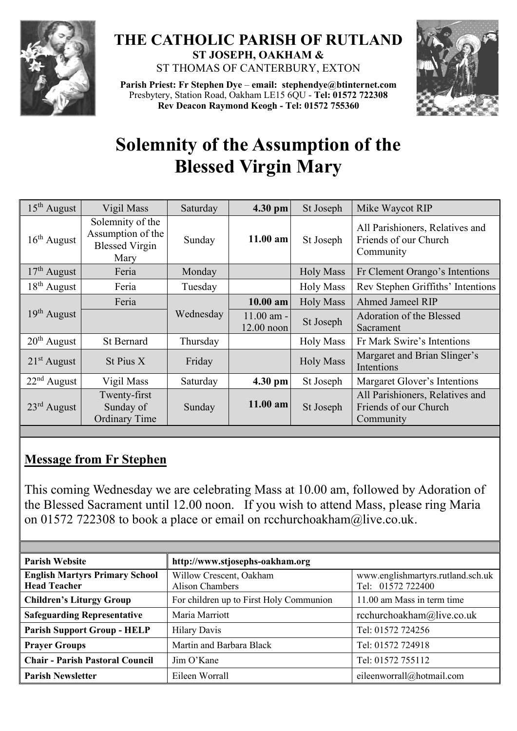

## **THE CATHOLIC PARISH OF RUTLAND ST JOSEPH, OAKHAM &**  ST THOMAS OF CANTERBURY, EXTON

**Parish Priest: Fr Stephen Dye** – **[email: stephendye@btinternet.com](mailto:email:%20%20stephendye@btinternet.com)** Presbytery, Station Road, Oakham LE15 6QU - **Tel: 01572 722308 Rev Deacon Raymond Keogh - Tel: 01572 755360**



## **Solemnity of the Assumption of the Blessed Virgin Mary**

| $15th$ August           | Vigil Mass                                                             | Saturday  | 4.30 pm                      | St Joseph        | Mike Waycot RIP                                                       |  |
|-------------------------|------------------------------------------------------------------------|-----------|------------------------------|------------------|-----------------------------------------------------------------------|--|
| $16th$ August           | Solemnity of the<br>Assumption of the<br><b>Blessed Virgin</b><br>Mary | Sunday    | $11.00$ am                   | St Joseph        | All Parishioners, Relatives and<br>Friends of our Church<br>Community |  |
| $17th$ August           | Feria                                                                  | Monday    | <b>Holy Mass</b>             |                  | Fr Clement Orango's Intentions                                        |  |
| $18th$ August           | Feria                                                                  | Tuesday   |                              | <b>Holy Mass</b> | Rev Stephen Griffiths' Intentions                                     |  |
| $19th$ August           | Feria                                                                  |           | $10.00$ am                   | <b>Holy Mass</b> | <b>Ahmed Jameel RIP</b>                                               |  |
|                         |                                                                        | Wednesday | $11.00$ am -<br>$12.00$ noon | St Joseph        | Adoration of the Blessed<br>Sacrament                                 |  |
| $20th$ August           | <b>St Bernard</b>                                                      | Thursday  |                              | <b>Holy Mass</b> | Fr Mark Swire's Intentions                                            |  |
| $21st$ August           | St Pius X                                                              | Friday    |                              | <b>Holy Mass</b> | Margaret and Brian Slinger's<br>Intentions                            |  |
| $22nd$ August           | Vigil Mass                                                             | Saturday  | 4.30 pm                      | St Joseph        | Margaret Glover's Intentions                                          |  |
| $23^{\text{rd}}$ August | Twenty-first<br>Sunday of<br><b>Ordinary Time</b>                      | Sunday    | $11.00$ am                   | St Joseph        | All Parishioners, Relatives and<br>Friends of our Church<br>Community |  |

## **Message from Fr Stephen**

This coming Wednesday we are celebrating Mass at 10.00 am, followed by Adoration of the Blessed Sacrament until 12.00 noon. If you wish to attend Mass, please ring Maria on 01572 722308 to book a place or email on [rcchurchoakham@live.co.uk.](mailto:rcchurchoakham@live.co.uk)

| <b>Parish Website</b>                                        | http://www.stjosephs-oakham.org                   |                                                        |  |  |
|--------------------------------------------------------------|---------------------------------------------------|--------------------------------------------------------|--|--|
| <b>English Martyrs Primary School</b><br><b>Head Teacher</b> | Willow Crescent, Oakham<br><b>Alison Chambers</b> | www.englishmartyrs.rutland.sch.uk<br>Tel: 01572 722400 |  |  |
| <b>Children's Liturgy Group</b>                              | For children up to First Holy Communion           | 11.00 am Mass in term time                             |  |  |
| <b>Safeguarding Representative</b>                           | Maria Marriott                                    | rcchurchoakham@live.co.uk                              |  |  |
| <b>Parish Support Group - HELP</b>                           | <b>Hilary Davis</b>                               | Tel: 01572 724256                                      |  |  |
| <b>Prayer Groups</b>                                         | Martin and Barbara Black                          | Tel: 01572 724918                                      |  |  |
| <b>Chair - Parish Pastoral Council</b>                       | Jim O'Kane                                        | Tel: 01572 755112                                      |  |  |
| <b>Parish Newsletter</b>                                     | Eileen Worrall                                    | eileenworrall@hotmail.com                              |  |  |